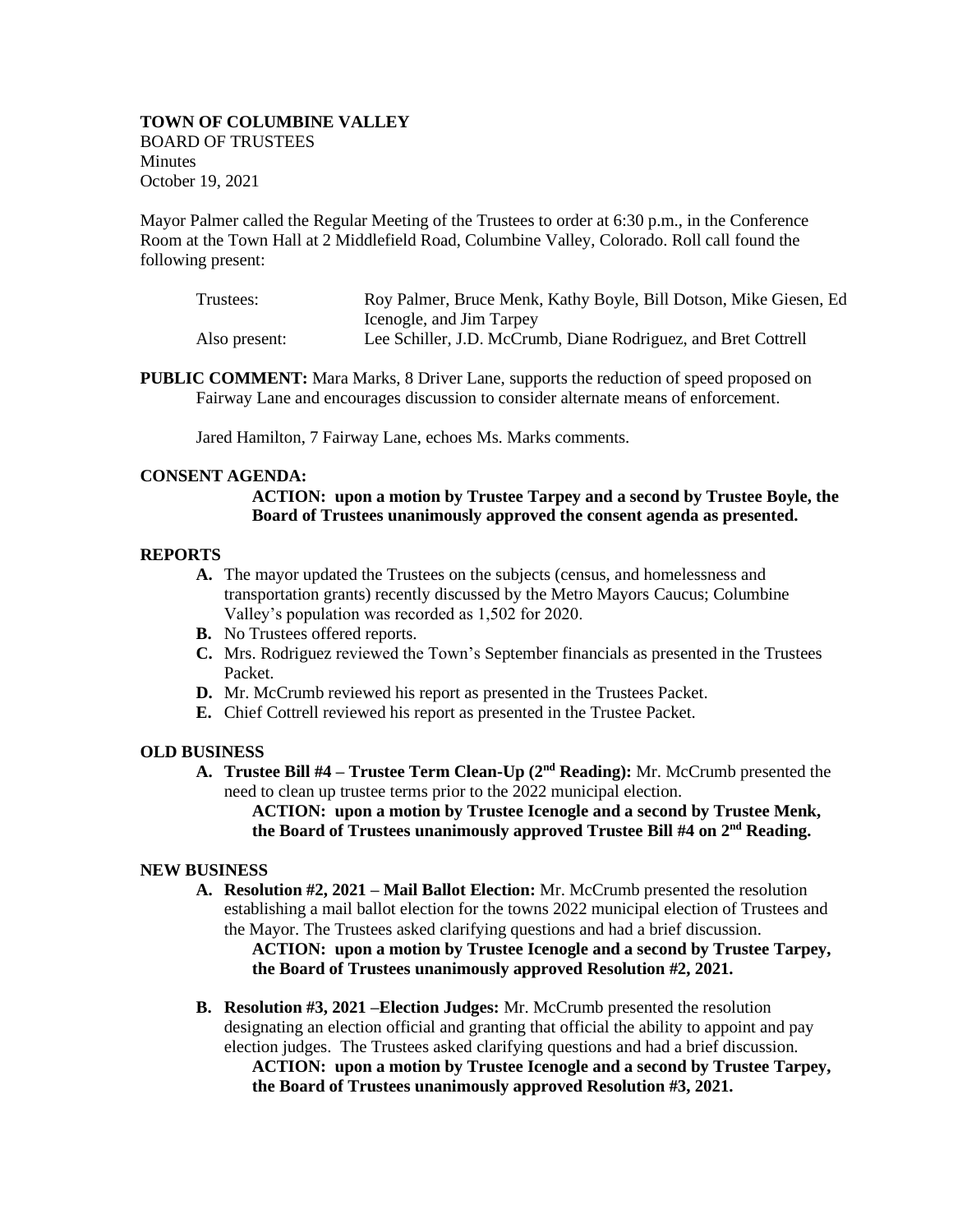# **TOWN OF COLUMBINE VALLEY**  BOARD OF TRUSTEES **Minutes** October 19, 2021

Mayor Palmer called the Regular Meeting of the Trustees to order at 6:30 p.m., in the Conference Room at the Town Hall at 2 Middlefield Road, Columbine Valley, Colorado. Roll call found the following present:

| Trustees:     | Roy Palmer, Bruce Menk, Kathy Boyle, Bill Dotson, Mike Giesen, Ed |
|---------------|-------------------------------------------------------------------|
|               | Icenogle, and Jim Tarpey                                          |
| Also present: | Lee Schiller, J.D. McCrumb, Diane Rodriguez, and Bret Cottrell    |

**PUBLIC COMMENT:** Mara Marks, 8 Driver Lane, supports the reduction of speed proposed on Fairway Lane and encourages discussion to consider alternate means of enforcement.

Jared Hamilton, 7 Fairway Lane, echoes Ms. Marks comments.

# **CONSENT AGENDA:**

# **ACTION: upon a motion by Trustee Tarpey and a second by Trustee Boyle, the Board of Trustees unanimously approved the consent agenda as presented.**

## **REPORTS**

- **A.** The mayor updated the Trustees on the subjects (census, and homelessness and transportation grants) recently discussed by the Metro Mayors Caucus; Columbine Valley's population was recorded as 1,502 for 2020.
- **B.** No Trustees offered reports.
- **C.** Mrs. Rodriguez reviewed the Town's September financials as presented in the Trustees Packet.
- **D.** Mr. McCrumb reviewed his report as presented in the Trustees Packet.
- **E.** Chief Cottrell reviewed his report as presented in the Trustee Packet.

### **OLD BUSINESS**

**A. Trustee Bill #4 – Trustee Term Clean-Up (2nd Reading):** Mr. McCrumb presented the need to clean up trustee terms prior to the 2022 municipal election.

**ACTION: upon a motion by Trustee Icenogle and a second by Trustee Menk, the Board of Trustees unanimously approved Trustee Bill #4 on 2nd Reading.**

### **NEW BUSINESS**

**A. Resolution #2, 2021 – Mail Ballot Election:** Mr. McCrumb presented the resolution establishing a mail ballot election for the towns 2022 municipal election of Trustees and the Mayor. The Trustees asked clarifying questions and had a brief discussion.

**ACTION: upon a motion by Trustee Icenogle and a second by Trustee Tarpey, the Board of Trustees unanimously approved Resolution #2, 2021.**

**B. Resolution #3, 2021 –Election Judges:** Mr. McCrumb presented the resolution designating an election official and granting that official the ability to appoint and pay election judges. The Trustees asked clarifying questions and had a brief discussion.

**ACTION: upon a motion by Trustee Icenogle and a second by Trustee Tarpey, the Board of Trustees unanimously approved Resolution #3, 2021.**